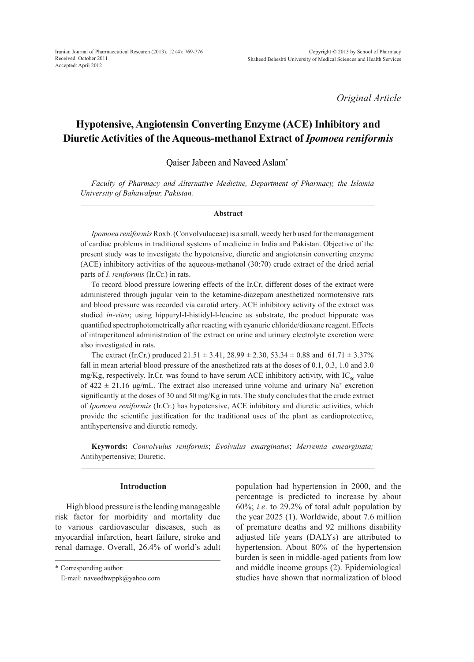Iranian Journal of Pharmaceutical Research (2013), 12 (4): 769-776 Received: October 2011 Accepted: April 2012

*Original Article*

# **Hypotensive, Angiotensin Converting Enzyme (ACE) Inhibitory and Diuretic Activities of the Aqueous-methanol Extract of** *Ipomoea reniformis*

Qaiser Jabeen and Naveed Aslam\*

*Faculty of Pharmacy and Alternative Medicine, Department of Pharmacy, the Islamia University of Bahawalpur, Pakistan.*

#### **Abstract**

*Ipomoea reniformis* Roxb. (Convolvulaceae) is a small, weedy herb used for the management of cardiac problems in traditional systems of medicine in India and Pakistan. Objective of the present study was to investigate the hypotensive, diuretic and angiotensin converting enzyme (ACE) inhibitory activities of the aqueous-methanol (30:70) crude extract of the dried aerial parts of *I. reniformis* (Ir.Cr.) in rats.

To record blood pressure lowering effects of the Ir.Cr, different doses of the extract were administered through jugular vein to the ketamine-diazepam anesthetized normotensive rats and blood pressure was recorded via carotid artery. ACE inhibitory activity of the extract was studied *in-vitro*; using hippuryl-l-histidyl-l-leucine as substrate, the product hippurate was quantified spectrophotometrically after reacting with cyanuric chloride/dioxane reagent. Effects of intraperitoneal administration of the extract on urine and urinary electrolyte excretion were also investigated in rats.

The extract (Ir.Cr.) produced  $21.51 \pm 3.41$ ,  $28.99 \pm 2.30$ ,  $53.34 \pm 0.88$  and  $61.71 \pm 3.37\%$ fall in mean arterial blood pressure of the anesthetized rats at the doses of 0.1, 0.3, 1.0 and 3.0 mg/Kg, respectively. Ir.Cr. was found to have serum ACE inhibitory activity, with  $IC_{50}$  value of  $422 \pm 21.16$   $\mu$ g/mL. The extract also increased urine volume and urinary Na<sup>+</sup> excretion significantly at the doses of 30 and 50 mg/Kg in rats. The study concludes that the crude extract of *Ipomoea reniformis* (Ir.Cr.) has hypotensive, ACE inhibitory and diuretic activities, which provide the scientific justification for the traditional uses of the plant as cardioprotective, antihypertensive and diuretic remedy.

**Keywords:** *Convolvulus reniformis*; *Evolvulus emarginatus*; *Merremia emearginata;* Antihypertensive; Diuretic.

#### **Introduction**

High blood pressure is the leading manageable risk factor for morbidity and mortality due to various cardiovascular diseases, such as myocardial infarction, heart failure, stroke and renal damage. Overall, 26.4% of world's adult population had hypertension in 2000, and the percentage is predicted to increase by about 60%; *i.e*. to 29.2% of total adult population by the year 2025 (1). Worldwide, about 7.6 million of premature deaths and 92 millions disability adjusted life years (DALYs) are attributed to hypertension. About 80% of the hypertension burden is seen in middle-aged patients from low and middle income groups (2). Epidemiological studies have shown that normalization of blood

<sup>\*</sup> Corresponding author:

E-mail: naveedbwppk@yahoo.com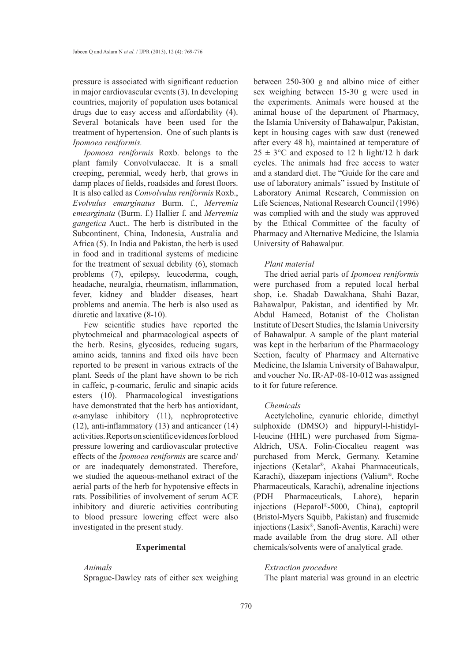pressure is associated with significant reduction in major cardiovascular events (3). In developing countries, majority of population uses botanical drugs due to easy access and affordability (4). Several botanicals have been used for the treatment of hypertension. One of such plants is *Ipomoea reniformis.*

*Ipomoea reniformis* Roxb. belongs to the plant family Convolvulaceae. It is a small creeping, perennial, weedy herb, that grows in damp places of fields, roadsides and forest floors. It is also called as *Convolvulus reniformis* Roxb., *Evolvulus emarginatus* Burm. f., *Merremia emearginata* (Burm. f.) Hallier f. and *Merremia gangetica* Auct.. The herb is distributed in the Subcontinent, China, Indonesia, Australia and Africa (5). In India and Pakistan, the herb is used in food and in traditional systems of medicine for the treatment of sexual debility (6), stomach problems (7), epilepsy, leucoderma, cough, headache, neuralgia, rheumatism, inflammation, fever, kidney and bladder diseases, heart problems and anemia. The herb is also used as diuretic and laxative (8-10).

Few scientific studies have reported the phytochmeical and pharmacological aspects of the herb. Resins, glycosides, reducing sugars, amino acids, tannins and fixed oils have been reported to be present in various extracts of the plant. Seeds of the plant have shown to be rich in caffeic, p-coumaric, ferulic and sinapic acids esters (10). Pharmacological investigations have demonstrated that the herb has antioxidant, *α*-amylase inhibitory (11), nephroprotective (12), anti-inflammatory (13) and anticancer (14) activities. Reports on scientific evidences for blood pressure lowering and cardiovascular protective effects of the *Ipomoea reniformis* are scarce and/ or are inadequately demonstrated. Therefore, we studied the aqueous-methanol extract of the aerial parts of the herb for hypotensive effects in rats. Possibilities of involvement of serum ACE inhibitory and diuretic activities contributing to blood pressure lowering effect were also investigated in the present study.

#### **Experimental**

#### *Animals*

Sprague-Dawley rats of either sex weighing

between 250-300 g and albino mice of either sex weighing between 15-30 g were used in the experiments. Animals were housed at the animal house of the department of Pharmacy, the Islamia University of Bahawalpur, Pakistan, kept in housing cages with saw dust (renewed after every 48 h), maintained at temperature of  $25 \pm 3$ °C and exposed to 12 h light/12 h dark cycles. The animals had free access to water and a standard diet. The "Guide for the care and use of laboratory animals" issued by Institute of Laboratory Animal Research, Commission on Life Sciences, National Research Council (1996) was complied with and the study was approved by the Ethical Committee of the faculty of Pharmacy and Alternative Medicine, the Islamia University of Bahawalpur.

#### *Plant material*

The dried aerial parts of *Ipomoea reniformis* were purchased from a reputed local herbal shop, i.e. Shadab Dawakhana, Shahi Bazar, Bahawalpur, Pakistan, and identified by Mr. Abdul Hameed, Botanist of the Cholistan Institute of Desert Studies, the Islamia University of Bahawalpur. A sample of the plant material was kept in the herbarium of the Pharmacology Section, faculty of Pharmacy and Alternative Medicine, the Islamia University of Bahawalpur, and voucher No. IR-AP-08-10-012 was assigned to it for future reference.

#### *Chemicals*

Acetylcholine, cyanuric chloride, dimethyl sulphoxide (DMSO) and hippuryl-l-histidyll-leucine (HHL) were purchased from Sigma-Aldrich, USA. Folin-Ciocalteu reagent was purchased from Merck, Germany. Ketamine injections (Ketalar®, Akahai Pharmaceuticals, Karachi), diazepam injections (Valium®, Roche Pharmaceuticals, Karachi), adrenaline injections (PDH Pharmaceuticals, Lahore), heparin injections (Heparol®-5000, China), captopril (Bristol-Myers Squibb, Pakistan) and frusemide injections (Lasix®, Sanofi-Aventis, Karachi) were made available from the drug store. All other chemicals/solvents were of analytical grade.

#### *Extraction procedure*

The plant material was ground in an electric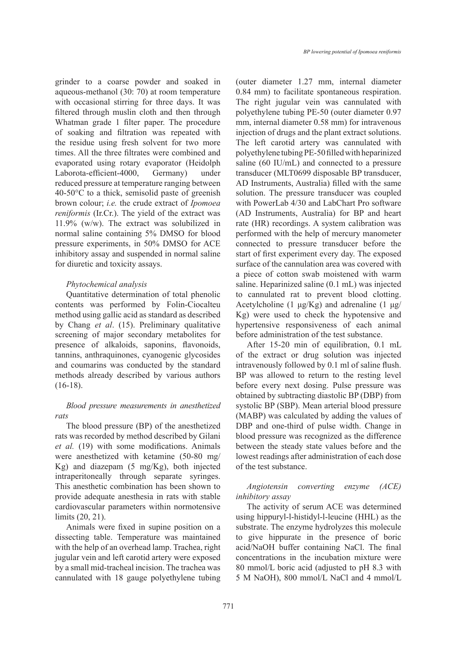grinder to a coarse powder and soaked in aqueous-methanol (30: 70) at room temperature with occasional stirring for three days. It was filtered through muslin cloth and then through Whatman grade 1 filter paper. The procedure of soaking and filtration was repeated with the residue using fresh solvent for two more times. All the three filtrates were combined and evaporated using rotary evaporator (Heidolph Laborota-efficient-4000, Germany) under reduced pressure at temperature ranging between  $40-50^{\circ}$ C to a thick, semisolid paste of greenish brown colour; *i.e.* the crude extract of *Ipomoea reniformis* (Ir.Cr.). The yield of the extract was 11.9% (w/w). The extract was solubilized in normal saline containing 5% DMSO for blood pressure experiments, in 50% DMSO for ACE inhibitory assay and suspended in normal saline for diuretic and toxicity assays.

### *Phytochemical analysis*

Quantitative determination of total phenolic contents was performed by Folin-Ciocalteu method using gallic acid as standard as described by Chang *et al*. (15). Preliminary qualitative screening of major secondary metabolites for presence of alkaloids, saponins, flavonoids, tannins, anthraquinones, cyanogenic glycosides and coumarins was conducted by the standard methods already described by various authors (16-18).

## *Blood pressure measurements in anesthetized rats*

The blood pressure (BP) of the anesthetized rats was recorded by method described by Gilani *et al.* (19) with some modifications. Animals were anesthetized with ketamine (50-80 mg/ Kg) and diazepam (5 mg/Kg), both injected intraperitoneally through separate syringes. This anesthetic combination has been shown to provide adequate anesthesia in rats with stable cardiovascular parameters within normotensive limits (20, 21).

Animals were fixed in supine position on a dissecting table. Temperature was maintained with the help of an overhead lamp. Trachea, right jugular vein and left carotid artery were exposed by a small mid-tracheal incision. The trachea was cannulated with 18 gauge polyethylene tubing (outer diameter 1.27 mm, internal diameter 0.84 mm) to facilitate spontaneous respiration. The right jugular vein was cannulated with polyethylene tubing PE-50 (outer diameter 0.97 mm, internal diameter 0.58 mm) for intravenous injection of drugs and the plant extract solutions. The left carotid artery was cannulated with polyethylene tubing PE-50 filled with heparinized saline (60 IU/mL) and connected to a pressure transducer (MLT0699 disposable BP transducer, AD Instruments, Australia) filled with the same solution. The pressure transducer was coupled with PowerLab 4/30 and LabChart Pro software (AD Instruments, Australia) for BP and heart rate (HR) recordings. A system calibration was performed with the help of mercury manometer connected to pressure transducer before the start of first experiment every day. The exposed surface of the cannulation area was covered with a piece of cotton swab moistened with warm saline. Heparinized saline (0.1 mL) was injected to cannulated rat to prevent blood clotting. Acetylcholine (1  $\mu$ g/Kg) and adrenaline (1  $\mu$ g/ Kg) were used to check the hypotensive and hypertensive responsiveness of each animal before administration of the test substance.

After 15-20 min of equilibration, 0.1 mL of the extract or drug solution was injected intravenously followed by 0.1 ml of saline flush. BP was allowed to return to the resting level before every next dosing. Pulse pressure was obtained by subtracting diastolic BP (DBP) from systolic BP (SBP). Mean arterial blood pressure (MABP) was calculated by adding the values of DBP and one-third of pulse width. Change in blood pressure was recognized as the difference between the steady state values before and the lowest readings after administration of each dose of the test substance.

### *Angiotensin converting enzyme (ACE) inhibitory assay*

The activity of serum ACE was determined using hippuryl-l-histidyl-l-leucine (HHL) as the substrate. The enzyme hydrolyzes this molecule to give hippurate in the presence of boric acid/NaOH buffer containing NaCl. The final concentrations in the incubation mixture were 80 mmol/L boric acid (adjusted to pH 8.3 with 5 M NaOH), 800 mmol/L NaCl and 4 mmol/L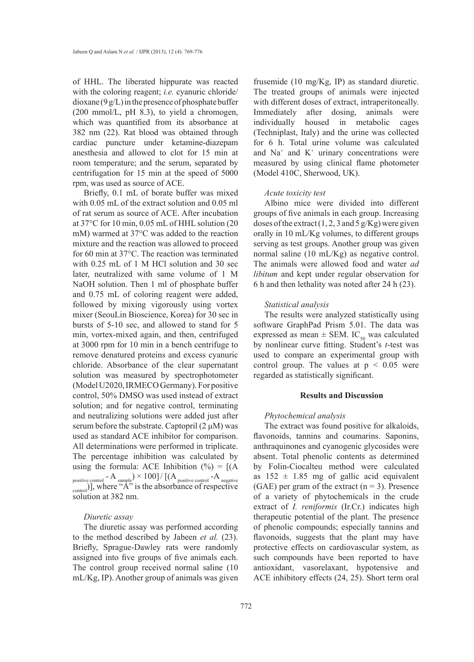of HHL. The liberated hippurate was reacted with the coloring reagent; *i.e.* cyanuric chloride/ dioxane (9 g/L) in the presence of phosphate buffer  $(200 \text{ mmol/L}, \text{pH } 8.3)$ , to yield a chromogen, which was quantified from its absorbance at 382 nm (22). Rat blood was obtained through cardiac puncture under ketamine-diazepam anesthesia and allowed to clot for 15 min at room temperature; and the serum, separated by centrifugation for 15 min at the speed of 5000 rpm, was used as source of ACE.

Briefly, 0.1 mL of borate buffer was mixed with 0.05 mL of the extract solution and 0.05 ml of rat serum as source of ACE. After incubation at 37°C for 10 min, 0.05 mL of HHL solution (20 mM) warmed at 37°C was added to the reaction mixture and the reaction was allowed to proceed for 60 min at 37°C. The reaction was terminated with 0.25 mL of 1 M HCl solution and 30 sec later, neutralized with same volume of 1 M NaOH solution. Then 1 ml of phosphate buffer and 0.75 mL of coloring reagent were added, followed by mixing vigorously using vortex mixer (SeouLin Bioscience, Korea) for 30 sec in bursts of 5-10 sec, and allowed to stand for 5 min, vortex-mixed again, and then, centrifuged at 3000 rpm for 10 min in a bench centrifuge to remove denatured proteins and excess cyanuric chloride. Absorbance of the clear supernatant solution was measured by spectrophotometer (Model U2020, IRMECO Germany). For positive control, 50% DMSO was used instead of extract solution; and for negative control, terminating and neutralizing solutions were added just after serum before the substrate. Captopril  $(2 \mu M)$  was used as standard ACE inhibitor for comparison. All determinations were performed in triplicate. The percentage inhibition was calculated by using the formula: ACE Inhibition  $(\% ) = [ (A$ positive control  $-A$  sample)  $\times$  100] / [(A <sub>positive control</sub>  $-A$  <sub>negative</sub>  $_{\text{control}}$ )], where " $\mathbf{A}$ " is the absorbance of respective solution at 382 nm.

### *Diuretic assay*

The diuretic assay was performed according to the method described by Jabeen *et al.* (23). Briefly, Sprague-Dawley rats were randomly assigned into five groups of five animals each. The control group received normal saline (10 mL/Kg, IP). Another group of animals was given frusemide (10 mg/Kg, IP) as standard diuretic. The treated groups of animals were injected with different doses of extract, intraperitoneally. Immediately after dosing, animals were individually housed in metabolic cages (Techniplast, Italy) and the urine was collected for 6 h. Total urine volume was calculated and  $Na<sup>+</sup>$  and  $K<sup>+</sup>$  urinary concentrations were measured by using clinical flame photometer (Model 410C, Sherwood, UK).

#### *Acute toxicity test*

Albino mice were divided into different groups of five animals in each group. Increasing doses of the extract  $(1, 2, 3 \text{ and } 5 \text{ g/Kg})$  were given orally in 10 mL/Kg volumes, to different groups serving as test groups. Another group was given normal saline (10 mL/Kg) as negative control. The animals were allowed food and water *ad libitum* and kept under regular observation for 6 h and then lethality was noted after 24 h (23).

#### *Statistical analysis*

The results were analyzed statistically using software GraphPad Prism 5.01. The data was expressed as mean  $\pm$  SEM. IC<sub>50</sub> was calculated by nonlinear curve fitting. Student's *t*-test was used to compare an experimental group with control group. The values at  $p < 0.05$  were regarded as statistically significant.

#### **Results and Discussion**

#### *Phytochemical analysis*

The extract was found positive for alkaloids, flavonoids, tannins and coumarins. Saponins, anthraquinones and cyanogenic glycosides were absent. Total phenolic contents as determined by Folin-Ciocalteu method were calculated as  $152 \pm 1.85$  mg of gallic acid equivalent (GAE) per gram of the extract  $(n = 3)$ . Presence of a variety of phytochemicals in the crude extract of *I. reniformis* (Ir.Cr.) indicates high therapeutic potential of the plant. The presence of phenolic compounds; especially tannins and flavonoids, suggests that the plant may have protective effects on cardiovascular system, as such compounds have been reported to have antioxidant, vasorelaxant, hypotensive and ACE inhibitory effects (24, 25). Short term oral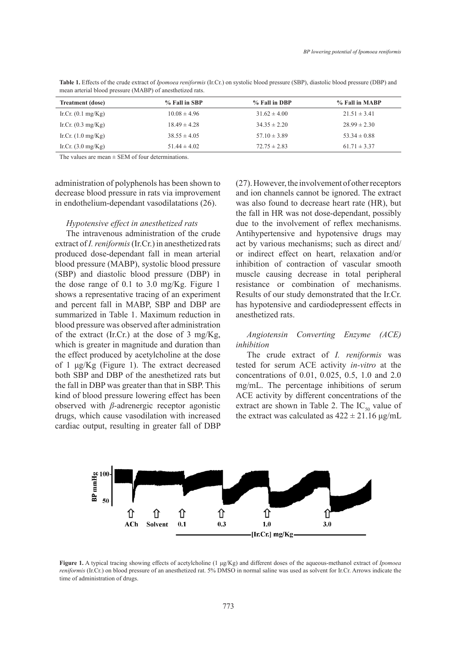| <b>Treatment</b> (dose)      | % Fall in SBP    | % Fall in DBP    | % Fall in MABP   |
|------------------------------|------------------|------------------|------------------|
| Ir.Cr. $(0.1 \text{ mg/Kg})$ | $10.08 \pm 4.96$ | $31.62 \pm 4.00$ | $21.51 \pm 3.41$ |
| Ir.Cr. $(0.3 \text{ mg/Kg})$ | $18.49 \pm 4.28$ | $34.35 \pm 2.20$ | $28.99 \pm 2.30$ |
| Ir.Cr. $(1.0 \text{ mg/Kg})$ | $38.55 \pm 4.05$ | $57.10 \pm 3.89$ | $53.34 \pm 0.88$ |
| Ir.Cr. $(3.0 \text{ mg/Kg})$ | $51.44 \pm 4.02$ | $72.75 \pm 2.83$ | $61.71 \pm 3.37$ |

**Table 1.** Effects of the crude extract of *Ipomoea reniformis* (Ir.Cr.) on systolic blood pressure (SBP), diastolic blood pressure (DBP) and mean arterial blood pressure (MABP) of anesthetized rats.

The values are mean  $\pm$  SEM of four determinations.

administration of polyphenols has been shown to administration of polyphenols has been shown to administration of polyphenols has been shown to decrease blood pressure in rats via improvement decrease blood pressure in rats via improvement decrease blood pressure in rats via improvement in endothelium-dependant vasodilatations (26). in endothelium-dependant vasodilatations (26). in endothelium-dependant vasodilatations (26). *Hypotensive effect in anesthetized rats*

# Hypotensive effect in anesthetized rats

extract of *I. reniformis* (Ir.Cr.) in anesthetized rats produced dose-dependant fall in mean arterial blood pressure (MABP), systolic blood pressure  $(SBP)$  and diastolic blood pressure (DBP) in the dose range of 0.1 to 3.0 mg/Kg. Figure 1 shows a representative tracing of an experiment and percent fall in MABP, SBP and DBP are summarized in Table 1. Maximum reduction in blood pressure was observed after administration of the extract (Ir.Cr.) at the dose of  $3 \text{ mg/Kg}$ , of the extract (H.Cr.) at the dose of 5 mg/Kg, and  $\frac{1}{2}$  and  $\frac{1}{2}$  mg/Kg  $\frac{1}{2}$  and  $\frac{1}{2}$  at the dose of 5 mg/Kg, and  $\frac{1}{2}$  and  $\frac{1}{2}$  converting Enzyme the effect produced by acetylcholine at the dose of 1  $\mu$ g/Kg (Figure 1). The extract decreased both SBP and DBP of the anesthetized rats but the fall in DBP was greater than that in SBP. This kind of blood pressure lowering effect has been ACE activity by different concentration observed with *β*-adrenergic receptor agonistic drugs, which cause vasodilation with increased t cardiac output, resulting in greater fall of DBP  $\frac{1}{2}$  summarized in Table 1. Maximum reduction in Table 1.  $\frac{1}{2}$  ppp. and d Uring the Uring the State of Order pressure<br>
(DRP) and diastolic blood pressure (DRP) in between the distribution of  $(921)$  m<br>dose range of 0.1 to 3.0 mg/Kg. Figure 1  $\frac{1}{2}$  and  $\frac{1}{2}$  in Mabrie 1.1 in Ma $\frac{1}{2}$  and DBP and DBP are proposed to  $\frac{1}{2}$  and  $\frac{1}{2}$  are proposed to  $\frac{1}{2}$  and  $\frac{1}{2}$  are proposed to  $\frac{1}{2}$  are proposed to  $\frac{1}{2}$  and  $\frac{1}{2}$  are pr summarized in MADD CDD and DDD are percent fun in *was* to, sort and *DDI* are  $\omega$  pressure was observed and during and duration than  $\omega$ ch is greater in magnitude and duration than *inhibition ng ng*. *f i***guit <b>***f* 

The intravenous administration of the crude Antihypertensive and hypotensive dru (27). However, the involvement of other receptors and ion channels cannot be ignored. The extract was also found to decrease heart rate (HR), but the fall in HR was not dose-dependant, possibly due to the involvement of reflex mechanisms. Antihypertensive and hypotensive drugs may act by various mechanisms; such as direct and/ are by various incendiments, such as an eventual inhibition of contraction of vascular smooth minoritori or contraction or vascular sinootin<br>muscle causing decrease in total peripheral mascic causing accrease in total peripheral resistance or combination of mechanisms. Results of our study demonstrated that the Ir.Cr. recent fall in MABP, SBP and DBP are has hypotensive and cardiodepressent effects in anes the tized rats. **Nation** of contraction of vascular smooth **(matrice ratalized** are combination of mechanisms) *inhibition* The crude extract of *I. reniformis* was *c* or compliant of meet

#### *Angiotensin Converting Enzyme (ACE) inhibition* tested for serum ACE activity *in vivo* at the Angiotensin Converting Enzyme (ACE)  $\mathcal{M}$  multiplied in  $\mathcal{M}$ tested for serum ACE activity *in vivo* at the  $\text{Arg}$ concentrations of  $\text{Cone}$  converting  $\text{Enc}(\text{ACE})$  $\frac{m}{\sqrt{2}}$  in the percentage in the percentage in the percentage in the series of services in the series of services in the series of services in the series of services in the series of services in the services in the s

The crude extract of *I. reniformis* was tested for serum ACE activity *in-vitro* at the BP and DBP of the anesthetized rats but concentrations of 0.01, 0.025, 0.5, 1.0 and 2.0 mg/mL. The percentage inhibitions of serum ACE activity by different concentrations of the extract are shown in Table 2. The  $IC_{50}$  value of the extract was calculated as  $422 \pm 21.16 \,\mu\text{g/mL}$ The crude extract of *I. rentformis* was  $\sum_{K}$   $\sum_{K}$   $\sum_{K}$   $\sum_{K}$   $\sum_{K}$   $\sum_{K}$   $\sum_{K}$   $\sum_{K}$   $\sum_{K}$   $\sum_{K}$   $\sum_{K}$   $\sum_{K}$   $\sum_{K}$   $\sum_{K}$   $\sum_{K}$   $\sum_{K}$   $\sum_{K}$   $\sum_{K}$   $\sum_{K}$   $\sum_{K}$   $\sum_{K}$   $\sum_{K}$   $\sum_{K}$   $\sum_{K}$   $\sum_{K}$   $\sum_{K}$   $\sum_{K}$   $\sum_{K$ The crude extract of  $\mu$  rentforms was sted for serum ACE activity *in-vitro* at the<br>speculations of 0.01, 0.025, 0.5, 1.0 and 2.0  $V_{\alpha}$  (50 mg). The extract decreased total for serum ACE activity in vitro at



formis (Ir.Cr.) on blood pressure of an anesthetized rat. 5% DMSO in normal saline was used as solvent for Ir.Cr. Arrows indicate the Figure 1. A typical tracing showing effects of acetylcholine (1 µg/Kg) and different doses of the aqueous-methanol extract of *Ipomoea reniformis* (Ir.Cr.) on blood pressure of an anesthetized rat. 5% DMSO in normal saline was used as solvent for Ir.Cr. Arrows indicate the time of administration of drugs.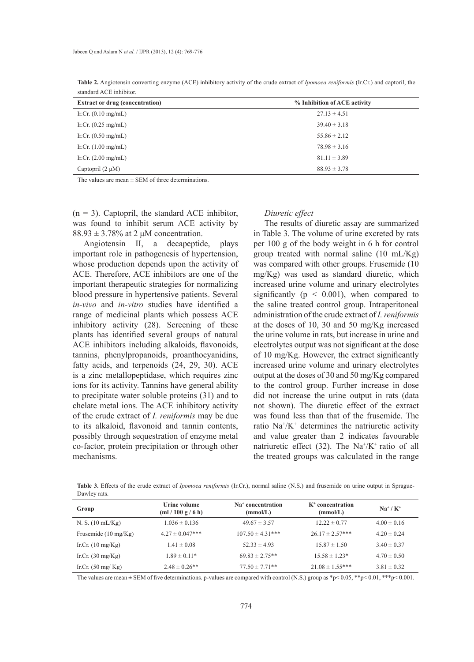| <b>Extract or drug (concentration)</b> | % Inhibition of ACE activity |  |  |
|----------------------------------------|------------------------------|--|--|
| Ir.Cr. $(0.10 \text{ mg/mL})$          | $27.13 \pm 4.51$             |  |  |
| Ir.Cr. $(0.25 \text{ mg/mL})$          | $39.40 \pm 3.18$             |  |  |
| Ir.Cr. $(0.50 \text{ mg/mL})$          | $55.86 \pm 2.12$             |  |  |
| Ir.Cr. $(1.00 \text{ mg/mL})$          | $78.98 \pm 3.16$             |  |  |
| Ir.Cr. $(2.00 \text{ mg/mL})$          | $81.11 \pm 3.89$             |  |  |
| Captopril $(2 \mu M)$                  | $88.93 \pm 3.78$             |  |  |

**Table 2.** Angiotensin converting enzyme (ACE) inhibitory activity of the crude extract of *Ipomoea reniformis* (Ir.Cr.) and captoril, the standard ACE inhibitor.

The values are mean  $\pm$  SEM of three determinations.

 $(n = 3)$ . Captopril, the standard ACE inhibitor, was found to inhibit serum ACE activity by  $88.93 \pm 3.78\%$  at 2  $\mu$ M concentration.

Angiotensin II, a decapeptide, plays important role in pathogenesis of hypertension, whose production depends upon the activity of ACE. Therefore, ACE inhibitors are one of the important therapeutic strategies for normalizing blood pressure in hypertensive patients. Several *in-vivo* and *in-vitro* studies have identified a range of medicinal plants which possess ACE inhibitory activity (28). Screening of these plants has identified several groups of natural ACE inhibitors including alkaloids, flavonoids, tannins, phenylpropanoids, proanthocyanidins, fatty acids, and terpenoids (24, 29, 30). ACE is a zinc metallopeptidase, which requires zinc ions for its activity. Tannins have general ability to precipitate water soluble proteins (31) and to chelate metal ions. The ACE inhibitory activity of the crude extract of *I. reniformis* may be due to its alkaloid, flavonoid and tannin contents, possibly through sequestration of enzyme metal co-factor, protein precipitation or through other mechanisms.

#### *Diuretic effect*

The results of diuretic assay are summarized in Table 3. The volume of urine excreted by rats per 100 g of the body weight in 6 h for control group treated with normal saline (10 mL/Kg) was compared with other groups. Frusemide (10 mg/Kg) was used as standard diuretic, which increased urine volume and urinary electrolytes significantly ( $p \leq 0.001$ ), when compared to the saline treated control group. Intraperitoneal administration of the crude extract of *I. reniformis* at the doses of 10, 30 and 50 mg/Kg increased the urine volume in rats, but increase in urine and electrolytes output was not significant at the dose of 10 mg/Kg. However, the extract significantly increased urine volume and urinary electrolytes output at the doses of 30 and 50 mg/Kg compared to the control group. Further increase in dose did not increase the urine output in rats (data not shown). The diuretic effect of the extract was found less than that of the frusemide. The ratio  $Na^{+}/K^{+}$  determines the natriuretic activity and value greater than 2 indicates favourable natriuretic effect (32). The  $Na^+/K^+$  ratio of all the treated groups was calculated in the range

**Table 3.** Effects of the crude extract of *Ipomoea reniformis* (Ir.Cr.), normal saline (N.S.) and frusemide on urine output in Sprague-Dawley rats.

| Group                          | Urine volume<br>(ml/100 g/6 h) | Na <sup>+</sup> concentration<br>(mmol/L) | $K^+$ concentration<br>(mmol/L) | $Na^+/K^+$      |
|--------------------------------|--------------------------------|-------------------------------------------|---------------------------------|-----------------|
| N. S. $(10 \text{ mL/Kg})$     | $1.036 \pm 0.136$              | $49.67 \pm 3.57$                          | $12.22 \pm 0.77$                | $4.00 \pm 0.16$ |
| Frusemide $(10 \text{ mg/Kg})$ | $4.27 \pm 0.047$ ***           | $107.50 \pm 4.31***$                      | $26.17 \pm 2.57$ ***            | $4.20 \pm 0.24$ |
| Ir.Cr. $(10 \text{ mg/Kg})$    | $1.41 \pm 0.08$                | $52.33 \pm 4.93$                          | $15.87 \pm 1.50$                | $3.40 \pm 0.37$ |
| Ir.Cr. $(30 \text{ mg/Kg})$    | $1.89 \pm 0.11*$               | $69.83 \pm 2.75**$                        | $15.58 \pm 1.23*$               | $4.70 \pm 0.50$ |
| Ir.Cr. $(50 \text{ mg/Kg})$    | $2.48 \pm 0.26$ **             | $77.50 \pm 7.71**$                        | $21.08 \pm 1.55***$             | $3.81 \pm 0.32$ |

The values are mean  $\pm$  SEM of five determinations. p-values are compared with control (N.S.) group as \*p< 0.05, \*\*p< 0.01, \*\*\*p< 0.001.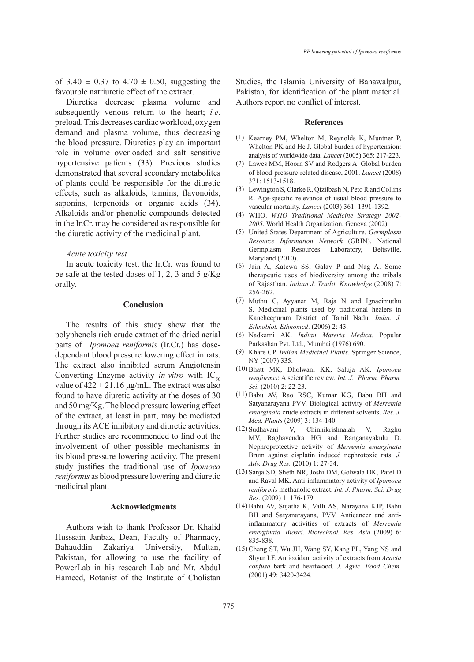of  $3.40 \pm 0.37$  to  $4.70 \pm 0.50$ , suggesting the favourble natriuretic effect of the extract.

Diuretics decrease plasma volume and subsequently venous return to the heart; *i.e*. preload. This decreases cardiac workload, oxygen demand and plasma volume, thus decreasing the blood pressure. Diuretics play an important role in volume overloaded and salt sensitive hypertensive patients (33). Previous studies demonstrated that several secondary metabolites of plants could be responsible for the diuretic effects, such as alkaloids, tannins, flavonoids, saponins, terpenoids or organic acids  $(34)$ . Alkaloids and/or phenolic compounds detected in the Ir.Cr. may be considered as responsible for the diuretic activity of the medicinal plant.

#### *Acute toxicity test*

In acute toxicity test, the Ir.Cr. was found to be safe at the tested doses of 1, 2, 3 and 5  $g/Kg$ orally.

#### **Conclusion**

The results of this study show that the polyphenols rich crude extract of the dried aerial parts of *Ipomoea reniformis* (Ir.Cr.) has dosedependant blood pressure lowering effect in rats. The extract also inhibited serum Angiotensin Converting Enzyme activity *in-vitro* with  $IC_{50}$ value of  $422 \pm 21.16 \,\mu g/mL$ . The extract was also found to have diuretic activity at the doses of 30 and 50 mg/Kg. The blood pressure lowering effect of the extract, at least in part, may be mediated through its ACE inhibitory and diuretic activities. Further studies are recommended to find out the involvement of other possible mechanisms in its blood pressure lowering activity. The present study justifies the traditional use of *Ipomoea reniformis* as blood pressure lowering and diuretic medicinal plant.

#### **Acknowledgments**

Authors wish to thank Professor Dr. Khalid Husssain Janbaz, Dean, Faculty of Pharmacy, Bahauddin Zakariya University, Multan, Pakistan, for allowing to use the facility of PowerLab in his research Lab and Mr. Abdul Hameed, Botanist of the Institute of Cholistan Studies, the Islamia University of Bahawalpur, Pakistan, for identification of the plant material. Authors report no conflict of interest.

#### **References**

- (1) Kearney PM, Whelton M, Reynolds K, Muntner P, Whelton PK and He J. Global burden of hypertension: analysis of worldwide data. *Lancet* (2005) 365: 217-223.
- Lawes MM, Hoorn SV and Rodgers A. Global burden (2) of blood-pressure-related disease, 2001. *Lancet* (2008) 371: 1513-1518.
- Lewington S, Clarke R, Qizilbash N, Peto R and Collins (3) R. Age-specific relevance of usual blood pressure to vascular mortality. *Lancet* (2003) 361: 1391-1392.
- WHO. *WHO Traditional Medicine Strategy 2002-* (4) *2005*. World Health Organization, Geneva (2002).
- United States Department of Agriculture. *Germplasm*  (5) *Resource Information Network* (GRIN). National Germplasm Resources Laboratory, Beltsville, Maryland (2010).
- (6) Jain A, Katewa SS, Galav P and Nag A. Some therapeutic uses of biodiversity among the tribals of Rajasthan. *Indian J. Tradit. Knowledge* (2008) 7: 256-262.
- Muthu C, Ayyanar M, Raja N and Ignacimuthu (7) S. Medicinal plants used by traditional healers in Kancheepuram District of Tamil Nadu. *India. J. Ethnobiol. Ethnomed*. (2006) 2: 43.
- Nadkarni AK. *Indian Materia Medica*. Popular (8) Parkashan Pvt. Ltd., Mumbai (1976) 690.
- Khare CP. *Indian Medicinal Plants.* Springer Science, (9) NY (2007) 335.
- Bhatt MK, Dholwani KK, Saluja AK. *Ipomoea*  (10) *reniformis*: A scientific review. *Int. J. Pharm. Pharm. Sci.* (2010) 2: 22-23.
- Babu AV, Rao RSC, Kumar KG, Babu BH and (11) Satyanarayana PVV. Biological activity of *Merremia emarginata* crude extracts in different solvents. *Res. J. Med. Plants* (2009) 3: 134-140.
- V, Chinnikrishnaiah V, Raghu MV, Raghavendra HG and Ranganayakulu D. Nephroprotective activity of *Merremia emarginata* Brum against cisplatin induced nephrotoxic rats. *J. Adv. Drug Res.* (2010) 1: 27-34. (12)
- (13) Sanja SD, Sheth NR, Joshi DM, Golwala DK, Patel D and Raval MK. Anti-inflammatory activity of *Ipomoea reniformis* methanolic extract. *Int. J. Pharm. Sci. Drug Res.* (2009) 1: 176-179.
- Babu AV, Sujatha K, Valli AS, Narayana KJP, Babu (14) BH and Satyanarayana, PVV. Anticancer and antiinflammatory activities of extracts of *Merremia emerginata*. *Biosci. Biotechnol. Res. Asia* (2009) 6: 835-838.
- (15) Chang ST, Wu JH, Wang SY, Kang PL, Yang NS and Shyur LF. Antioxidant activity of extracts from *Acacia confusa* bark and heartwood. *J. Agric. Food Chem.* (2001) 49: 3420-3424.